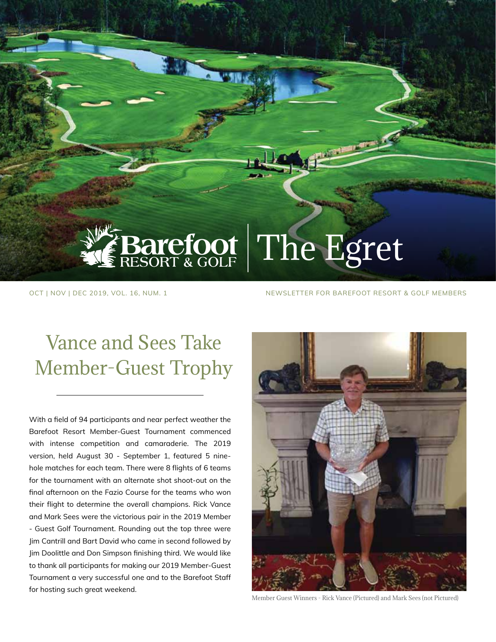# Barefoot The Egret

OCT | NOV | DEC 2019, VOL. 16, NUM. 1 NEWSLETTER FOR BAREFOOT RESORT & GOLF MEMBERS

# Vance and Sees Take Member-Guest Trophy

With a field of 94 participants and near perfect weather the Barefoot Resort Member-Guest Tournament commenced with intense competition and camaraderie. The 2019 version, held August 30 - September 1, featured 5 ninehole matches for each team. There were 8 flights of 6 teams for the tournament with an alternate shot shoot-out on the final afternoon on the Fazio Course for the teams who won their flight to determine the overall champions. Rick Vance and Mark Sees were the victorious pair in the 2019 Member - Guest Golf Tournament. Rounding out the top three were Jim Cantrill and Bart David who came in second followed by Jim Doolittle and Don Simpson finishing third. We would like to thank all participants for making our 2019 Member-Guest Tournament a very successful one and to the Barefoot Staff for hosting such great weekend.



Member Guest Winners - Rick Vance (Pictured) and Mark Sees (not Pictured)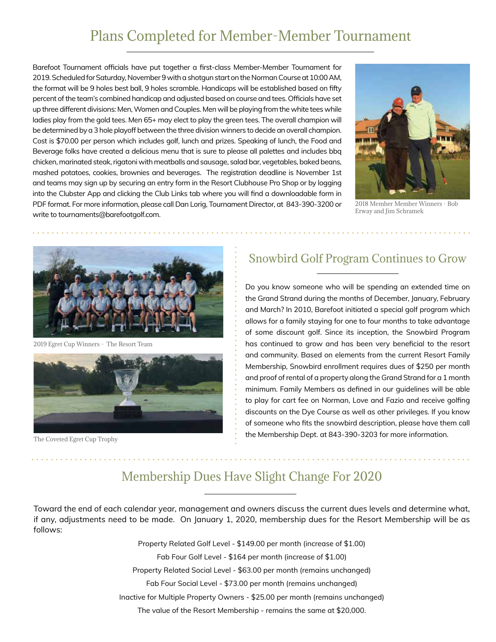# Plans Completed for Member-Member Tournament

Barefoot Tournament officials have put together a first-class Member-Member Tournament for 2019. Scheduled for Saturday, November 9 with a shotgun start on the Norman Course at 10:00 AM, the format will be 9 holes best ball, 9 holes scramble. Handicaps will be established based on fifty percent of the team's combined handicap and adjusted based on course and tees. Officials have set up three different divisions: Men, Women and Couples. Men will be playing from the white tees while ladies play from the gold tees. Men 65+ may elect to play the green tees. The overall champion will be determined by a 3 hole playoff between the three division winners to decide an overall champion. Cost is \$70.00 per person which includes golf, lunch and prizes. Speaking of lunch, the Food and Beverage folks have created a delicious menu that is sure to please all palettes and includes bbq chicken, marinated steak, rigatoni with meatballs and sausage, salad bar, vegetables, baked beans, mashed potatoes, cookies, brownies and beverages. The registration deadline is November 1st and teams may sign up by securing an entry form in the Resort Clubhouse Pro Shop or by logging into the Clubster App and clicking the Club Links tab where you will find a downloadable form in PDF format. For more information, please call Dan Lorig, Tournament Director, at 843-390-3200 or write to tournaments@barefootgolf.com.



2018 Member Member Winners - Bob Erway and Jim Schramek



2019 Egret Cup Winners - The Resort Team



The Coveted Egret Cup Trophy

### Snowbird Golf Program Continues to Grow

Do you know someone who will be spending an extended time on the Grand Strand during the months of December, January, February and March? In 2010, Barefoot initiated a special golf program which allows for a family staying for one to four months to take advantage of some discount golf. Since its inception, the Snowbird Program has continued to grow and has been very beneficial to the resort and community. Based on elements from the current Resort Family Membership, Snowbird enrollment requires dues of \$250 per month and proof of rental of a property along the Grand Strand for a 1 month minimum. Family Members as defined in our guidelines will be able to play for cart fee on Norman, Love and Fazio and receive golfing discounts on the Dye Course as well as other privileges. If you know of someone who fits the snowbird description, please have them call the Membership Dept. at 843-390-3203 for more information.

### Membership Dues Have Slight Change For 2020

Toward the end of each calendar year, management and owners discuss the current dues levels and determine what, if any, adjustments need to be made. On January 1, 2020, membership dues for the Resort Membership will be as follows:

> Property Related Golf Level - \$149.00 per month (increase of \$1.00) Fab Four Golf Level - \$164 per month (increase of \$1.00) Property Related Social Level - \$63.00 per month (remains unchanged) Fab Four Social Level - \$73.00 per month (remains unchanged) Inactive for Multiple Property Owners - \$25.00 per month (remains unchanged) The value of the Resort Membership - remains the same at \$20,000.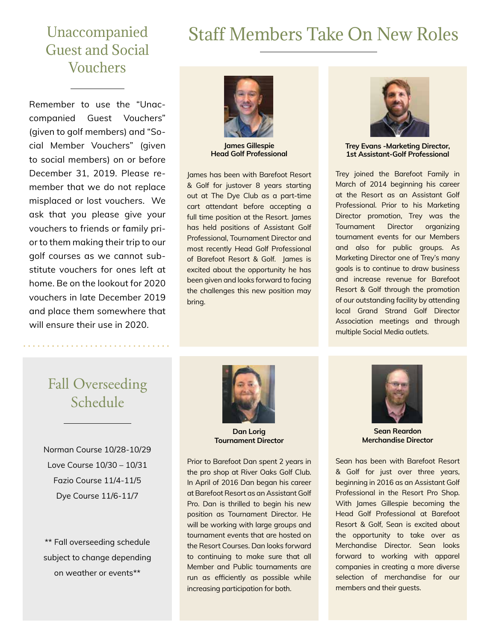# Staff Members Take On New Roles

# Unaccompanied Guest and Social Vouchers

Remember to use the "Unaccompanied Guest Vouchers" (given to golf members) and "Social Member Vouchers" (given to social members) on or before December 31, 2019. Please remember that we do not replace misplaced or lost vouchers. We ask that you please give your vouchers to friends or family prior to them making their trip to our golf courses as we cannot substitute vouchers for ones left at home. Be on the lookout for 2020 vouchers in late December 2019 and place them somewhere that will ensure their use in 2020.



**James Gillespie Head Golf Professional**

James has been with Barefoot Resort & Golf for justover 8 years starting out at The Dye Club as a part-time cart attendant before accepting a full time position at the Resort. James has held positions of Assistant Golf Professional, Tournament Director and most recently Head Golf Professional of Barefoot Resort & Golf. James is excited about the opportunity he has been given and looks forward to facing the challenges this new position may bring.



**Trey Evans -Marketing Director, 1st Assistant-Golf Professional**

Trey joined the Barefoot Family in March of 2014 beginning his career at the Resort as an Assistant Golf Professional. Prior to his Marketing Director promotion, Trey was the Tournament Director organizing tournament events for our Members and also for public groups. As Marketing Director one of Trey's many goals is to continue to draw business and increase revenue for Barefoot Resort & Golf through the promotion of our outstanding facility by attending local Grand Strand Golf Director Association meetings and through multiple Social Media outlets.

# Fall Overseeding Schedule

Norman Course 10/28-10/29 Love Course 10/30 – 10/31 Fazio Course 11/4-11/5 Dye Course 11/6-11/7

\*\* Fall overseeding schedule subject to change depending on weather or events\*\*



**Dan Lorig Tournament Director**

Prior to Barefoot Dan spent 2 years in the pro shop at River Oaks Golf Club. In April of 2016 Dan began his career at Barefoot Resort as an Assistant Golf Pro. Dan is thrilled to begin his new position as Tournament Director. He will be working with large groups and tournament events that are hosted on the Resort Courses. Dan looks forward to continuing to make sure that all Member and Public tournaments are run as efficiently as possible while increasing participation for both.



**Sean Reardon Merchandise Director**

Sean has been with Barefoot Resort & Golf for just over three years, beginning in 2016 as an Assistant Golf Professional in the Resort Pro Shop. With James Gillespie becoming the Head Golf Professional at Barefoot Resort & Golf, Sean is excited about the opportunity to take over as Merchandise Director. Sean looks forward to working with apparel companies in creating a more diverse selection of merchandise for our members and their guests.